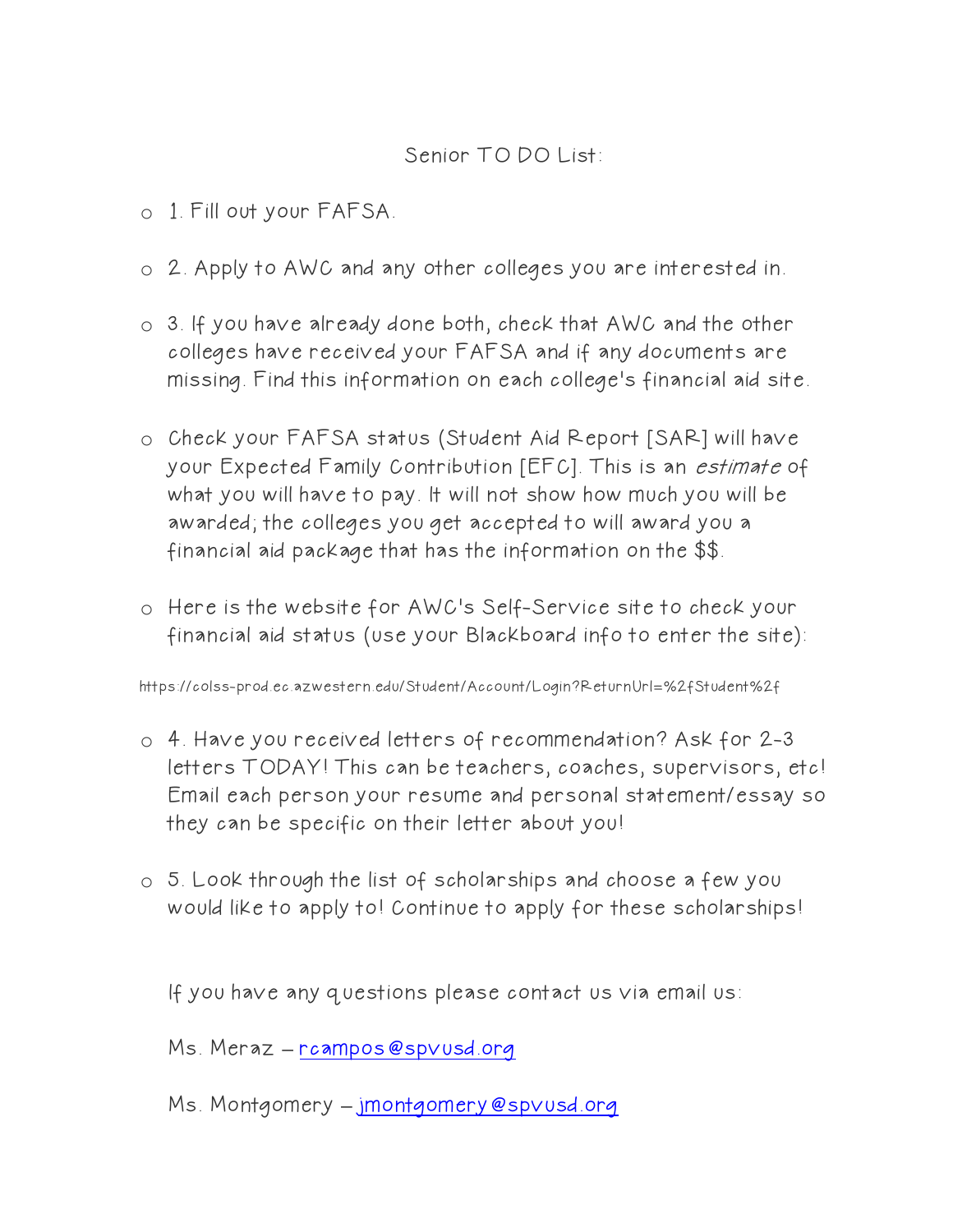## Senior TO DO List:

- o 1. Fill out your FAFSA.
- o 2. Apply to AWC and any other colleges you are interested in.
- o 3. If you have already done both, check that AWC and the other colleges have received your FAFSA and if any documents are missing. Find this information on each college's financial aid site.
- o Check your FAFSA status (Student Aid Report [SAR] will have your Expected Family Contribution [EFC]. This is an estimate of what you will have to pay. It will not show how much you will be awarded; the colleges you get accepted to will award you a financial aid package that has the information on the \$\$.
- o Here is the website for AWC's Self-Service site to check your financial aid status (use your Blackboard info to enter the site):

https://colss-prod.ec.azwestern.edu/Student/Account/Login?ReturnUrl=%2fStudent%2f

- o 4. Have you received letters of recommendation? Ask for 2-3 letters TODAY! This can be teachers, coaches, supervisors, etc! Email each person your resume and personal statement/essay so they can be specific on their letter about you!
- o 5. Look through the list of scholarships and choose a few you would like to apply to! Continue to apply for these scholarships!

If you have any questions please contact us via email us:

Ms. Meraz **–** [rcampos@spvusd.org](mailto:rcampos@spvusd.org)

Ms. Montgomery **–** [jmontgomery@spvusd.org](mailto:jmontgomery@spvusd.org)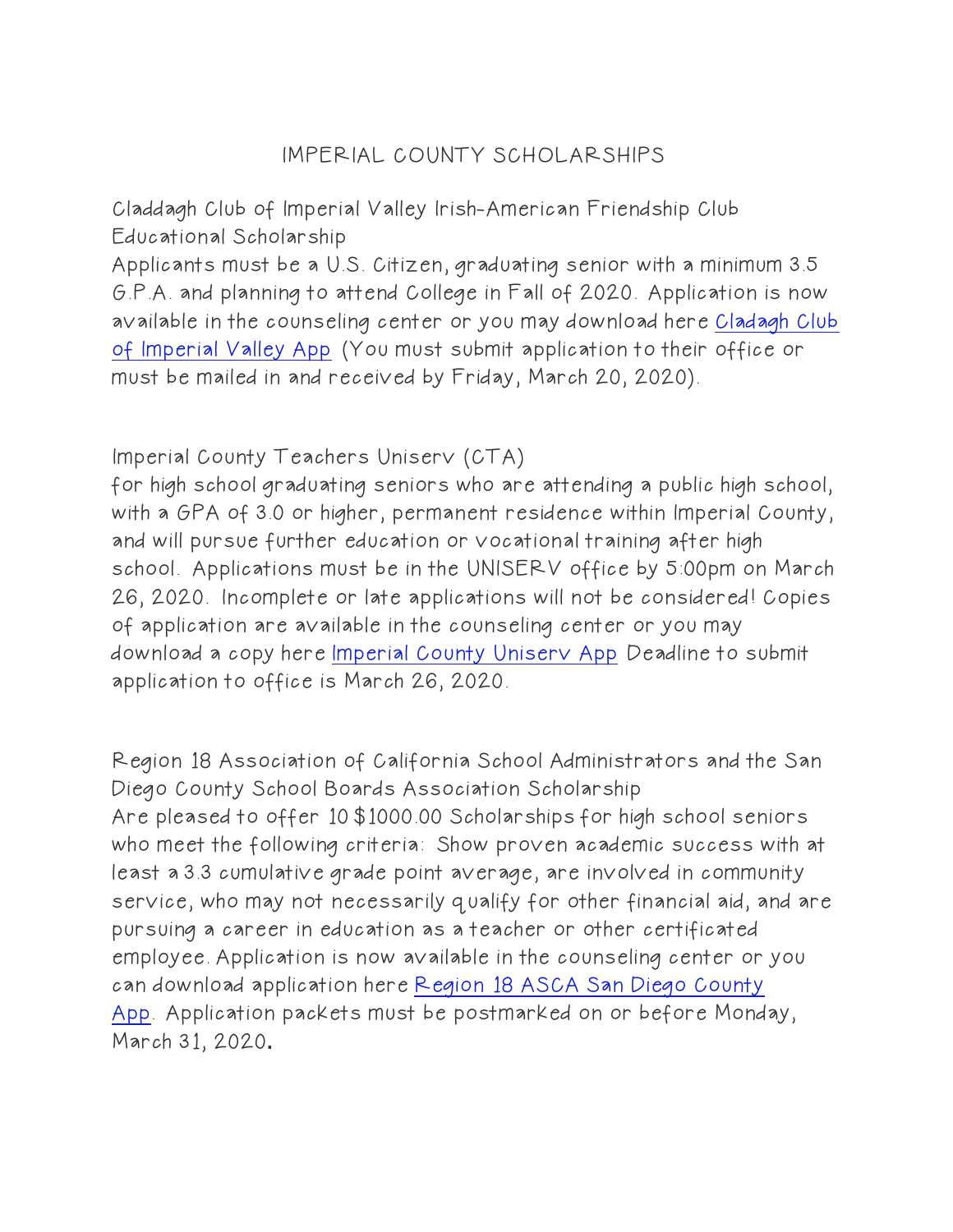# IMPERIAL COUNTY SCHOLARSHIPS

Claddagh Club of Imperial Valley Irish-American Friendship Club Educational Scholarship

Applicants must be a U.S. Citizen, graduating senior with a minimum 3.5 G.P.A. and planning to attend College in Fall of 2020. Application is now available in the counseling center or you may download here [Cladagh Club](https://www.brawleyhigh.org/cms/lib/CA01902259/Centricity/Domain/62/Claddagh%20Club%20of%20Imperial%20Valley%20app.pdf)  [of Imperial Valley App](https://www.brawleyhigh.org/cms/lib/CA01902259/Centricity/Domain/62/Claddagh%20Club%20of%20Imperial%20Valley%20app.pdf) (You must submit application to their office or must be mailed in and received by Friday, March 20, 2020).

### Imperial County Teachers Uniserv (CTA)

for high school graduating seniors who are attending a public high school, with a GPA of 3.0 or higher, permanent residence within Imperial County, and will pursue further education or vocational training after high school. Applications must be in the UNISERV office by 5:00pm on March 26, 2020. Incomplete or late applications will not be considered! Copies of application are available in the counseling center or you may download a copy here [Imperial County Uniserv App](https://www.brawleyhigh.org/cms/lib/CA01902259/Centricity/Domain/62/Imperial%20County%20Teachers%20Uniserv%20app.pdf) Deadline to submit application to office is March 26, 2020.

Region 18 Association of California School Administrators and the San Diego County School Boards Association Scholarship Are pleased to offer 10 \$1000.00 Scholarships for high school seniors who meet the following criteria: Show proven academic success with at least a 3.3 cumulative grade point average, are involved in community service, who may not necessarily qualify for other financial aid, and are pursuing a career in education as a teacher or other certificated employee. Application is now available in the counseling center or you can download application here [Region 18 ASCA San Diego County](https://www.brawleyhigh.org/cms/lib/CA01902259/Centricity/Domain/62/Region%2018%20ACSA%20San%20Diego%20County%20scholarship%20app.pdf)  [App.](https://www.brawleyhigh.org/cms/lib/CA01902259/Centricity/Domain/62/Region%2018%20ACSA%20San%20Diego%20County%20scholarship%20app.pdf) Application packets must be postmarked on or before Monday, March 31, 2020**.**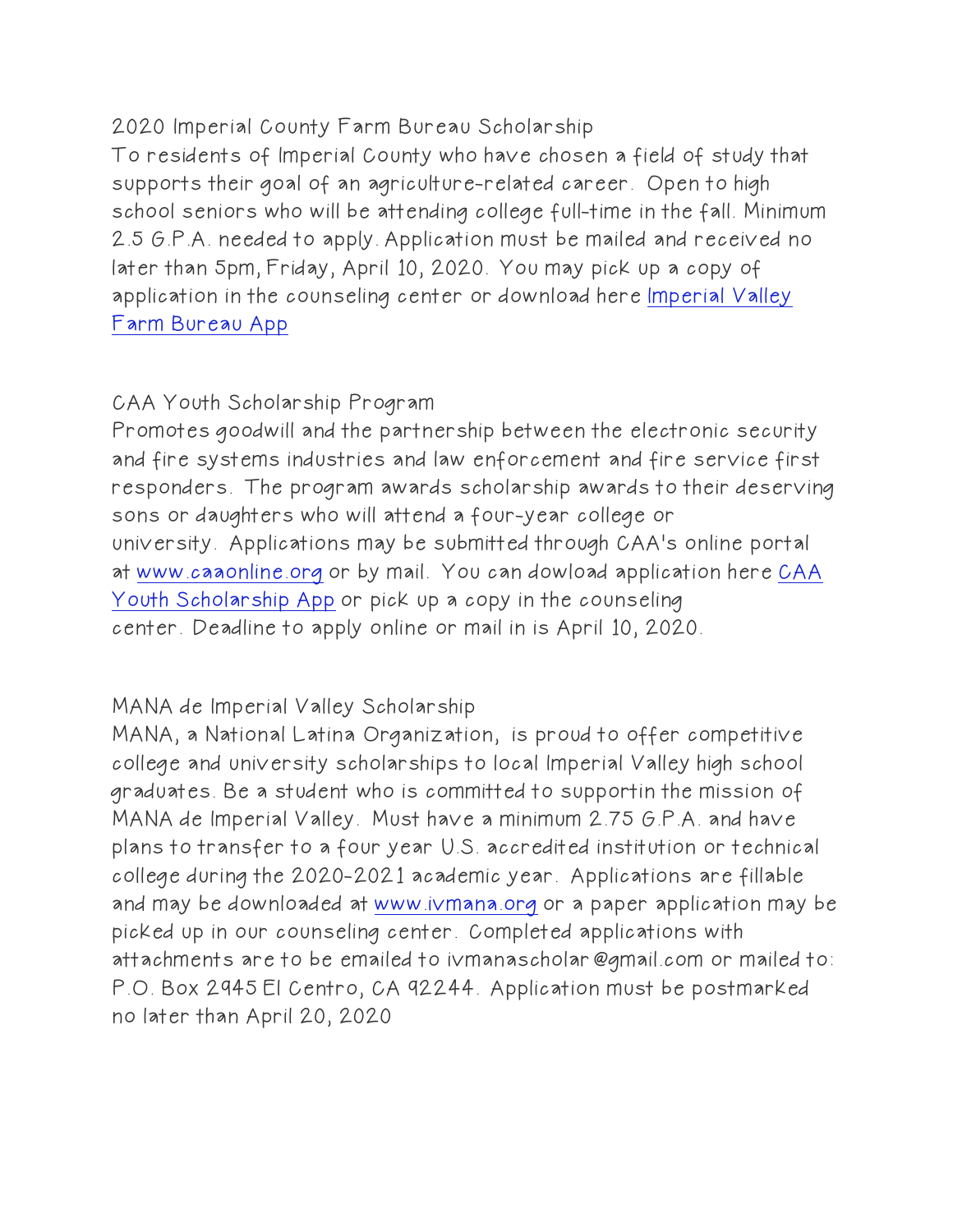2020 Imperial County Farm Bureau Scholarship

To residents of Imperial County who have chosen a field of study that supports their goal of an agriculture-related career. Open to high school seniors who will be attending college full-time in the fall. Minimum 2.5 G.P.A. needed to apply. Application must be mailed and received no later than 5pm, Friday, April 10, 2020. You may pick up a copy of application in the counseling center or download here [Imperial Valley](https://www.brawleyhigh.org/cms/lib/CA01902259/Centricity/Domain/62/2020%20Imperial%20County%20Farm%20Bureau%20Scholarship%20App.pdf)  [Farm Bureau App](https://www.brawleyhigh.org/cms/lib/CA01902259/Centricity/Domain/62/2020%20Imperial%20County%20Farm%20Bureau%20Scholarship%20App.pdf)

#### CAA Youth Scholarship Program

Promotes goodwill and the partnership between the electronic security and fire systems industries and law enforcement and fire service first responders. The program awards scholarship awards to their deserving sons or daughters who will attend a four-year college or university. Applications may be submitted through CAA's online portal at [www.caaonline.org](http://www.caaonline.org/) or by mail. You can dowload application here [CAA](https://www.brawleyhigh.org/cms/lib/CA01902259/Centricity/Domain/62/CAA%202020%20Youth%20Scholarship.pdf)  [Youth Scholarship App](https://www.brawleyhigh.org/cms/lib/CA01902259/Centricity/Domain/62/CAA%202020%20Youth%20Scholarship.pdf) or pick up a copy in the counseling center. Deadline to apply online or mail in is April 10, 2020.

#### MANA de Imperial Valley Scholarship

MANA, a National Latina Organization, is proud to offer competitive college and university scholarships to local Imperial Valley high school graduates. Be a student who is committed to supportin the mission of MANA de Imperial Valley. Must have a minimum 2.75 G.P.A. and have plans to transfer to a four year U.S. accredited institution or technical college during the 2020-2021 academic year. Applications are fillable and may be downloaded at [www.ivmana.org](http://www.ivmana.org/) or a paper application may be picked up in our counseling center. Completed applications with attachments are to be emailed to ivmanascholar@gmail.com or mailed to: P.O. Box 2945 El Centro, CA 92244.Application must be postmarked no later than April 20, 2020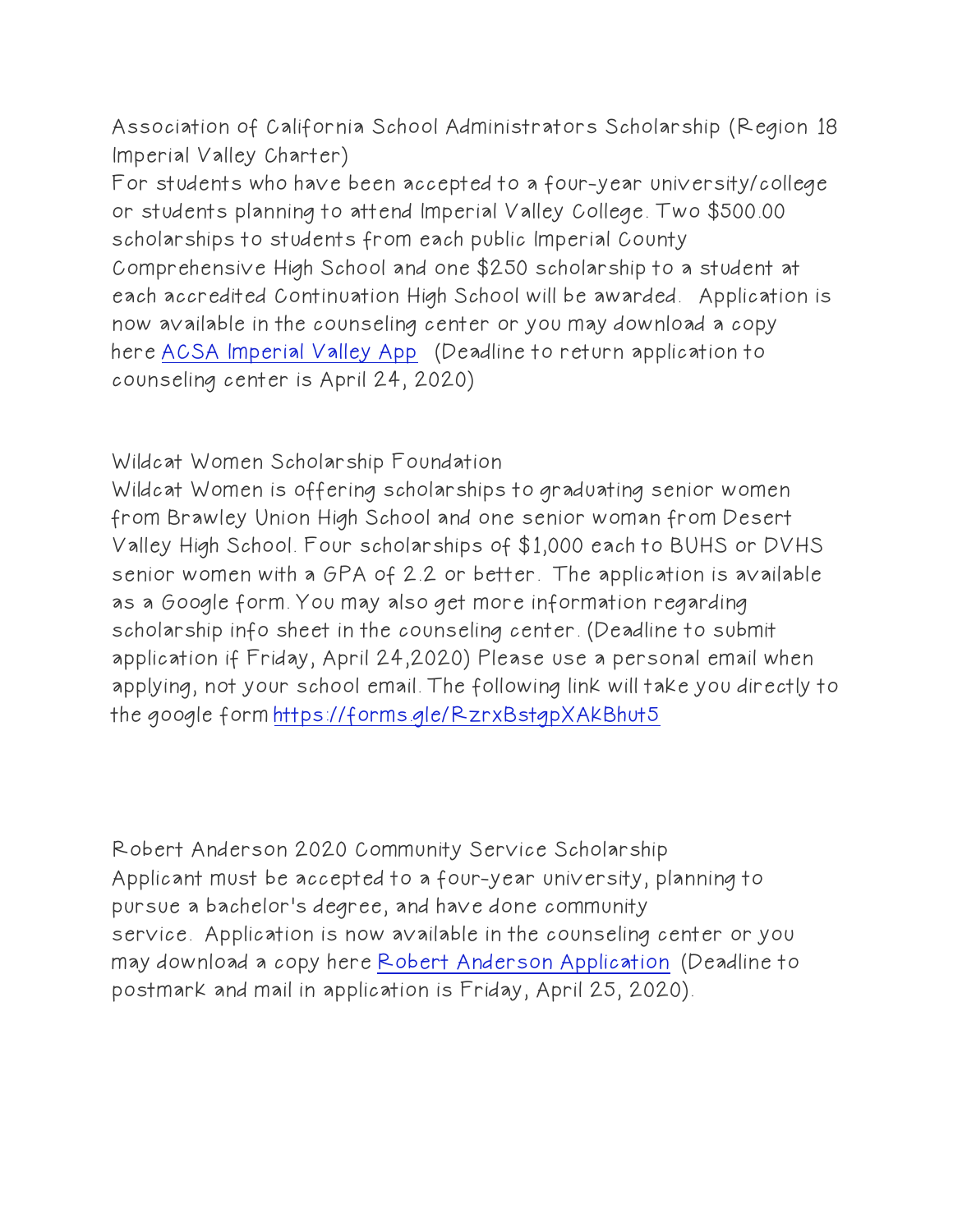Association of California School Administrators Scholarship (Region 18 Imperial Valley Charter)

For students who have been accepted to a four-year university/college or students planning to attend Imperial Valley College. Two \$500.00 scholarships to students from each public Imperial County Comprehensive High School and one \$250 scholarship to a student at each accredited Continuation High School will be awarded. Application is now available in the counseling center or you may download a copy here [ACSA Imperial Valley App](https://www.brawleyhigh.org/cms/lib/CA01902259/Centricity/Domain/62/ACSA%20Scholarship%20Imperial%20Valley.pdf) (Deadline to return application to counseling center is April 24, 2020)

Wildcat Women Scholarship Foundation

Wildcat Women is offering scholarships to graduating senior women from Brawley Union High School and one senior woman from Desert Valley High School. Four scholarships of \$1,000 each to BUHS or DVHS senior women with a GPA of 2.2 or better. The application is available as a Google form. You may also get more information regarding scholarship info sheet in the counseling center. (Deadline to submit application if Friday, April 24,2020) Please use a personal email when applying, not your school email. The following link will take you directly to the google form <https://forms.gle/RzrxBstgpXAkBhut5>

Robert Anderson 2020 Community Service Scholarship Applicant must be accepted to a four-year university, planning to pursue a bachelor's degree, and have done community service. Application is now available in the counseling center or you may download a copy here [Robert Anderson Application](https://www.brawleyhigh.org/cms/lib/CA01902259/Centricity/Domain/62/Robert%20Anderson%20app%202020.pdf)(Deadline to postmark and mail in application is Friday, April 25, 2020).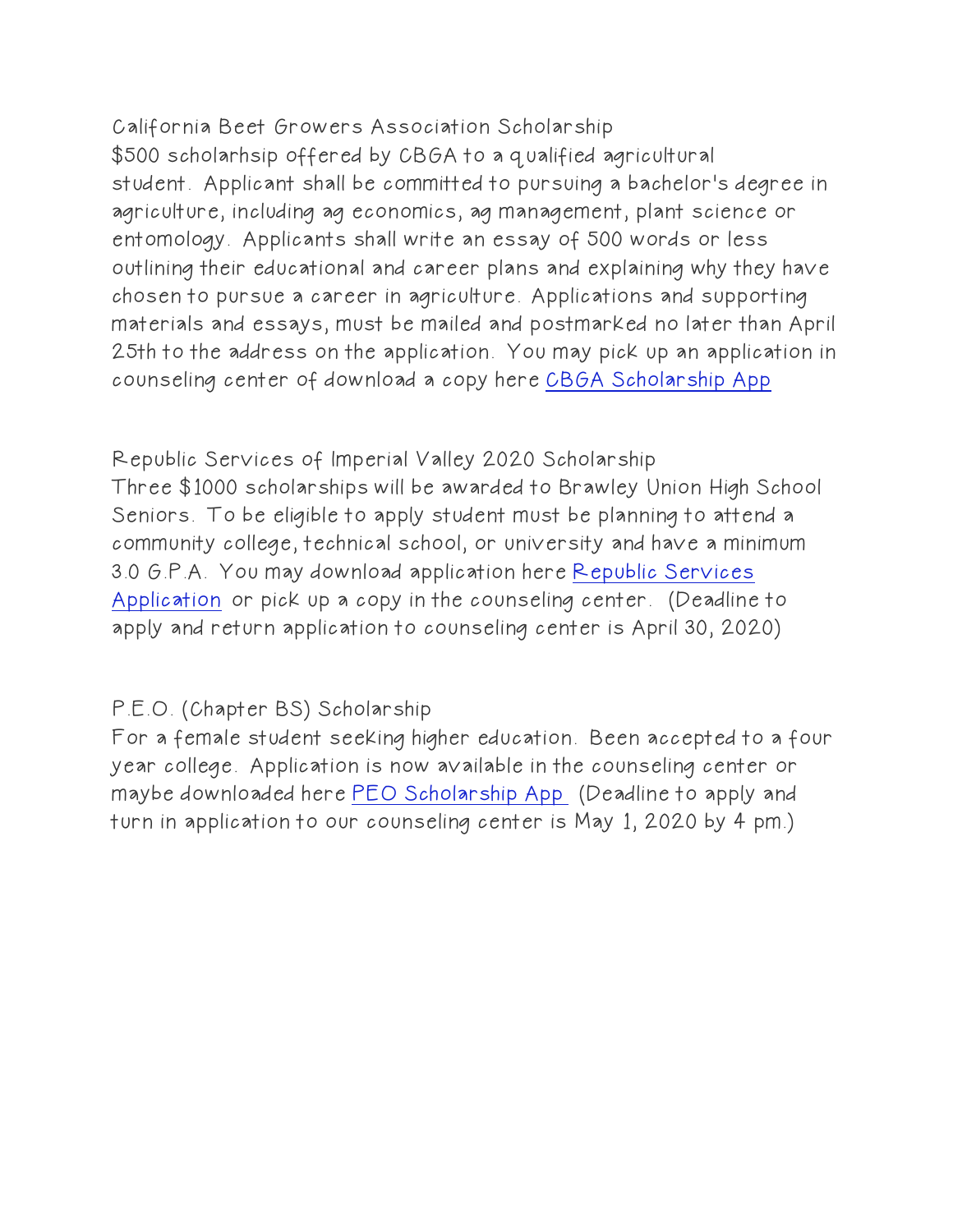California Beet Growers Association Scholarship \$500 scholarhsip offered by CBGA to a qualified agricultural student. Applicant shall be committed to pursuing a bachelor's degree in agriculture, including ag economics, ag management, plant science or entomology. Applicants shall write an essay of 500 words or less outlining their educational and career plans and explaining why they have chosen to pursue a career in agriculture. Applications and supporting materials and essays, must be mailed and postmarked no later than April 25th to the address on the application. You may pick up an application in counseling center of download a copy here [CBGA Scholarship App](https://www.brawleyhigh.org/cms/lib/CA01902259/Centricity/Domain/62/CBGA%20Scholarship%202020.docx)

Republic Services of Imperial Valley 2020 Scholarship Three \$1000 scholarships will be awarded to Brawley Union High School Seniors. To be eligible to apply student must be planning to attend a community college, technical school, or university and have a minimum 3.0 G.P.A. You may download application here [Republic Services](https://www.brawleyhigh.org/cms/lib/CA01902259/Centricity/Domain/62/Republic%20Services%20App%202020.pdf)  [Application](https://www.brawleyhigh.org/cms/lib/CA01902259/Centricity/Domain/62/Republic%20Services%20App%202020.pdf) or pick up a copy in the counseling center.(Deadline to apply and return application to counseling center is April 30, 2020)

# P.E.O. (Chapter BS) Scholarship

For a female student seeking higher education. Been accepted to a four year college. Application is now available in the counseling center or maybe downloaded here [PEO Scholarship App](https://www.brawleyhigh.org/cms/lib/CA01902259/Centricity/Domain/62/PEOScholarshipApplication2020.pdf) (Deadline to apply and turn in application to our counseling center is May 1, 2020 by 4 pm.)